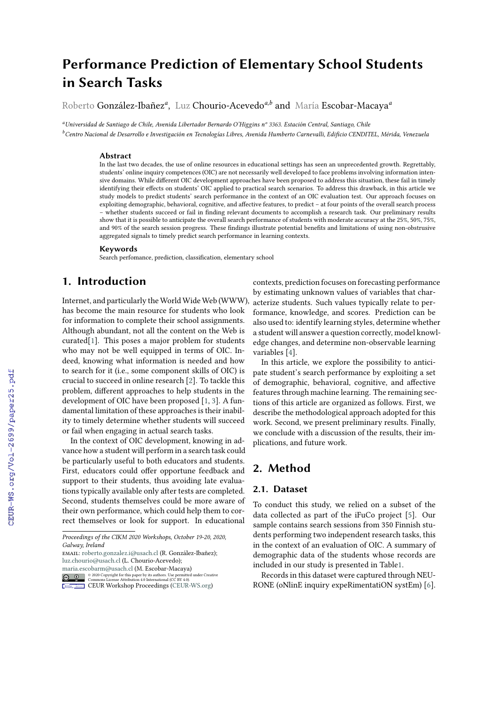# **Performance Prediction of Elementary School Students in Search Tasks**

Roberto González-Ibañez*<sup>a</sup>* , Luz Chourio-Acevedo*a,b* and María Escobar-Macaya*<sup>a</sup>*

*<sup>a</sup>Universidad de Santiago de Chile, Avenida Libertador Bernardo O'Higgins nº 3363. Estación Central, Santiago, Chile*

*<sup>b</sup>Centro Nacional de Desarrollo e Investigación en Tecnologías Libres, Avenida Humberto Carnevalli, Edificio CENDITEL, Mérida, Venezuela*

#### **Abstract**

In the last two decades, the use of online resources in educational settings has seen an unprecedented growth. Regrettably, students' online inquiry competences (OIC) are not necessarily well developed to face problems involving information intensive domains. While different OIC development approaches have been proposed to address this situation, these fail in timely identifying their effects on students' OIC applied to practical search scenarios. To address this drawback, in this article we study models to predict students' search performance in the context of an OIC evaluation test. Our approach focuses on exploiting demographic, behavioral, cognitive, and affective features, to predict – at four points of the overall search process – whether students succeed or fail in finding relevant documents to accomplish a research task. Our preliminary results show that it is possible to anticipate the overall search performance of students with moderate accuracy at the 25%, 50%, 75%, and 90% of the search session progress. These findings illustrate potential benefits and limitations of using non-obstrusive aggregated signals to timely predict search performance in learning contexts.

#### **Keywords**

Search perfomance, prediction, classification, elementary school

# **1. Introduction**

Internet, and particularly the World Wide Web (WWW), has become the main resource for students who look for information to complete their school assignments. Although abundant, not all the content on the Web is curated[\[1\]](#page--1-0). This poses a major problem for students who may not be well equipped in terms of OIC. Indeed, knowing what information is needed and how to search for it (i.e., some component skills of OIC) is crucial to succeed in online research [\[2\]](#page--1-1). To tackle this problem, different approaches to help students in the development of OIC have been proposed [\[1,](#page--1-0) [3\]](#page--1-2). A fundamental limitation of these approaches is their inability to timely determine whether students will succeed or fail when engaging in actual search tasks.

In the context of OIC development, knowing in advance how a student will perform in a search task could be particularly useful to both educators and students. First, educators could offer opportune feedback and support to their students, thus avoiding late evaluations typically available only after tests are completed. Second, students themselves could be more aware of their own performance, which could help them to correct themselves or look for support. In educational

email: [roberto.gonzalez.i@usach.cl](mailto:roberto.gonzalez.i@usach.cl) (R. González-Ibañez); [luz.chourio@usach.cl](mailto:luz.chourio@usach.cl) (L. Chourio-Acevedo);

[maria.escobarm@usach.cl](mailto:maria.escobarm@usach.cl) (M. Escobar-Macaya)

contexts, prediction focuses on forecasting performance by estimating unknown values of variables that characterize students. Such values typically relate to performance, knowledge, and scores. Prediction can be also used to: identify learning styles, determine whether a student will answer a question correctly, model knowledge changes, and determine non-observable learning variables [\[4\]](#page--1-3).

In this article, we explore the possibility to anticipate student's search performance by exploiting a set of demographic, behavioral, cognitive, and affective features through machine learning. The remaining sections of this article are organized as follows. First, we describe the methodological approach adopted for this work. Second, we present preliminary results. Finally, we conclude with a discussion of the results, their implications, and future work.

# **2. Method**

## **2.1. Dataset**

To conduct this study, we relied on a subset of the data collected as part of the iFuCo project [\[5\]](#page--1-4). Our sample contains search sessions from 350 Finnish students performing two independent research tasks, this in the context of an evaluation of OIC. A summary of demographic data of the students whose records are included in our study is presented in Tabl[e1.](#page--1-5)

Records in this dataset were captured through NEU-RONE (oNlinE inquiry expeRimentatiON systEm) [\[6\]](#page--1-6).

*Proceedings of the CIKM 2020 Workshops, October 19-20, 2020, Galway, Ireland*

<sup>©</sup> 2020 Copyright for this paper by its authors. Use permitted under Creative Commons License Attribution 4.0 International (CC BY 4.0). **CEUR Workshop [Proceedings](http://ceur-ws.org) [\(CEUR-WS.org\)](http://ceur-ws.org)**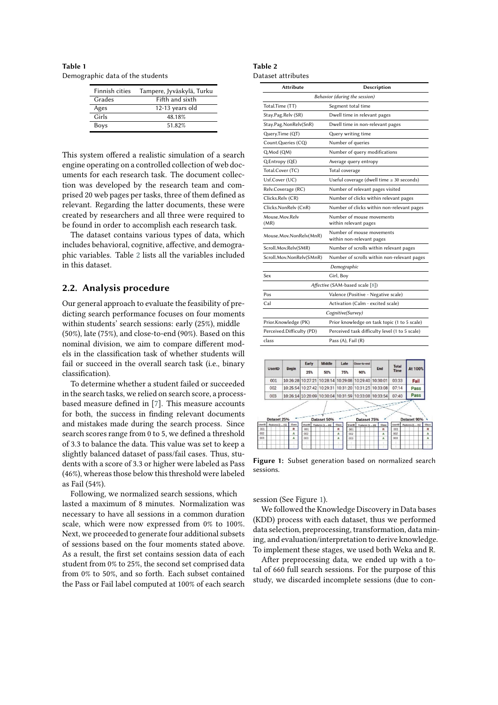**Table 1** Demographic data of the students

| <b>Finnish cities</b> | Tampere, Jyväskylä, Turku |  |  |
|-----------------------|---------------------------|--|--|
| Grades                | Fifth and sixth           |  |  |
| Ages                  | 12-13 years old           |  |  |
| Girls                 | 48.18%                    |  |  |
| Boys                  | 51.82%                    |  |  |

This system offered a realistic simulation of a search engine operating on a controlled collection of web documents for each research task. The document collection was developed by the research team and comprised 20 web pages per tasks, three of them defined as relevant. Regarding the latter documents, these were created by researchers and all three were required to be found in order to accomplish each research task.

The dataset contains various types of data, which includes behavioral, cognitive, affective, and demographic variables. Table [2](#page-1-0) lists all the variables included in this dataset.

## **2.2. Analysis procedure**

Our general approach to evaluate the feasibility of predicting search performance focuses on four moments within students' search sessions: early (25%), middle (50%), late (75%), and close-to-end (90%). Based on this nominal division, we aim to compare different models in the classification task of whether students will fail or succeed in the overall search task (i.e., binary classification).

To determine whether a student failed or succeeded in the search tasks, we relied on search score, a processbased measure defined in [\[7\]](#page-3-0). This measure accounts for both, the success in finding relevant documents and mistakes made during the search process. Since search scores range from 0 to 5, we defined a threshold of 3.3 to balance the data. This value was set to keep a slightly balanced dataset of pass/fail cases. Thus, students with a score of 3.3 or higher were labeled as Pass (46%), whereas those below this threshold were labeled as Fail (54%).

Following, we normalized search sessions, which lasted a maximum of 8 minutes. Normalization was necessary to have all sessions in a common duration scale, which were now expressed from 0% to 100%. Next, we proceeded to generate four additional subsets of sessions based on the four moments stated above. As a result, the first set contains session data of each student from 0% to 25%, the second set comprised data from 0% to 50%, and so forth. Each subset contained the Pass or Fail label computed at 100% of each search

<span id="page-1-0"></span>

| Table 2            |  |
|--------------------|--|
| Dataset attributes |  |

| <b>Attribute</b>              | Description                                            |  |  |  |  |
|-------------------------------|--------------------------------------------------------|--|--|--|--|
| Behavior (during the session) |                                                        |  |  |  |  |
| Total.Time (TT)               | Segment total time                                     |  |  |  |  |
| Stay.Pag.Relv (SR)            | Dwell time in relevant pages                           |  |  |  |  |
| Stay.Pag.NonRelv(SnR)         | Dwell time in non-relevant pages                       |  |  |  |  |
| Query.Time (QT)               | Query writing time                                     |  |  |  |  |
| Count.Queries (CQ)            | Number of queries                                      |  |  |  |  |
| Q.Mod (QM)                    | Number of query modifications                          |  |  |  |  |
| Q.Entropy (QE)                | Average query entropy                                  |  |  |  |  |
| Total.Cover (TC)              | Total coverage                                         |  |  |  |  |
| Usf.Cover (UC)                | Useful coverage (dwell time $\geq$ 30 seconds)         |  |  |  |  |
| Relv.Coverage (RC)            | Number of relevant pages visited                       |  |  |  |  |
| Clicks.Relv (CR)              | Number of clicks within relevant pages                 |  |  |  |  |
| Clicks.NonRelv (CnR)          | Number of clicks within non-relevant pages             |  |  |  |  |
| Mouse.Mov.Relv<br>(MR)        | Number of mouse movements<br>within relevant pages     |  |  |  |  |
| Mouse.Mov.NonRelv(MnR)        | Number of mouse movements<br>within non-relevant pages |  |  |  |  |
| Scroll.Mov.Relv(SMR)          | Number of scrolls within relevant pages                |  |  |  |  |
| Scroll.Mov.NonRelv(SMnR)      | Number of scrolls within non-relevant pages            |  |  |  |  |
|                               | Demographic                                            |  |  |  |  |
| Sex                           | Girl, Boy                                              |  |  |  |  |
|                               | Affective (SAM-based scale [8])                        |  |  |  |  |
| Pos                           | Valence (Positive - Negative scale)                    |  |  |  |  |
| Cal                           | Activation (Calm - excited scale)                      |  |  |  |  |
|                               | Cognitive(Survey)                                      |  |  |  |  |
| Prior.Knowledge (PK)          | Prior knowledge on task topic (1 to 5 scale)           |  |  |  |  |
| Perceived.Difficulty (PD)     | Perceived task difficulty level (1 to 5 scale)         |  |  |  |  |
| class                         | Pass (A), Fail (R)                                     |  |  |  |  |



<span id="page-1-1"></span>**Figure 1:** Subset generation based on normalized search sessions.

session (See Figure [1\)](#page-1-1).

We followed the Knowledge Discovery in Data bases (KDD) process with each dataset, thus we performed data selection, preprocessing, transformation, data mining, and evaluation/interpretation to derive knowledge. To implement these stages, we used both Weka and R.

After preprocessing data, we ended up with a total of 660 full search sessions. For the purpose of this study, we discarded incomplete sessions (due to con-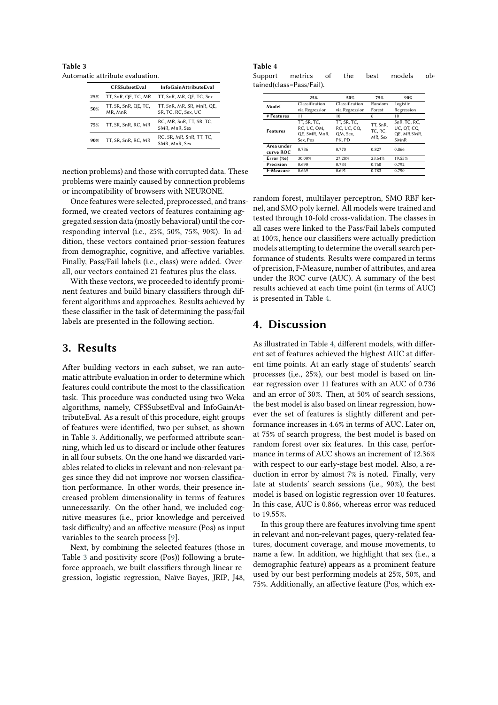<span id="page-2-0"></span>**Table 3** Automatic attribute evaluation.

|     | <b>CFSSubsetEval</b>            | <b>InfoGainAttributeEval</b>                     |
|-----|---------------------------------|--------------------------------------------------|
| 25% | TT, SnR, QE, TC, MR             | TT, SnR, MR, QE, TC, Sex                         |
| 50% | TT, SR, SnR, QE, TC,<br>MR, MnR | TT, SnR, MR, SR, MnR, QE,<br>SR, TC, RC, Sex, UC |
| 75% | TT, SR, SnR, RC, MR             | RC, MR, SnR, TT, SR, TC,<br>SMR, MnR, Sex        |
| 90% | TT, SR, SnR, RC, MR             | RC, SR, MR, SnR, TT, TC,<br>SMR, MnR, Sex        |

nection problems) and those with corrupted data. These problems were mainly caused by connection problems or incompatibility of browsers with NEURONE.

Once features were selected, preprocessed, and transformed, we created vectors of features containing aggregated session data (mostly behavioral) until the corresponding interval (i.e., 25%, 50%, 75%, 90%). In addition, these vectors contained prior-session features from demographic, cognitive, and affective variables. Finally, Pass/Fail labels (i.e., class) were added. Overall, our vectors contained 21 features plus the class.

With these vectors, we proceeded to identify prominent features and build binary classifiers through different algorithms and approaches. Results achieved by these classifier in the task of determining the pass/fail labels are presented in the following section.

## **3. Results**

After building vectors in each subset, we ran automatic attribute evaluation in order to determine which features could contribute the most to the classification task. This procedure was conducted using two Weka algorithms, namely, CFSSubsetEval and InfoGainAttributeEval. As a result of this procedure, eight groups of features were identified, two per subset, as shown in Table [3.](#page-2-0) Additionally, we performed attribute scanning, which led us to discard or include other features in all four subsets. On the one hand we discarded variables related to clicks in relevant and non-relevant pages since they did not improve nor worsen classification performance. In other words, their presence increased problem dimensionality in terms of features unnecessarily. On the other hand, we included cognitive measures (i.e., prior knowledge and perceived task difficulty) and an affective measure (Pos) as input variables to the search process [\[9\]](#page-3-2).

Next, by combining the selected features (those in Table [3](#page-2-0) and positivity score (Pos)) following a bruteforce approach, we built classifiers through linear regression, logistic regression, Naïve Bayes, JRIP, J48,

### **Table 4**

<span id="page-2-1"></span>Support metrics of the best models obtained(class=Pass/Fail).

|                  | 25%            | 50%            | 75%                            | 90%          |
|------------------|----------------|----------------|--------------------------------|--------------|
| Model            | Classification | Classification | Random                         | Logistic     |
|                  | via Regression | via Regression | Forest                         | Regression   |
| # Features       | 11             | 10             | 6                              | 10           |
| <b>Features</b>  | TT. SR. TC.    | TT. SR. TC.    | TT, SnR,<br>TC. RC.<br>MR, Sex | SnR. TC. RC. |
|                  | RC. UC. OM.    | RC. UC. CO.    |                                | UC, QT, CQ,  |
|                  | OE. SMR. MnR.  | QM, Sex,       |                                | OE. MR.SMR.  |
|                  | Sex, Pos       | PK. PD         |                                | SMnR         |
| Area under       | 0.736          | 0.770          | 0.827                          | 0.866        |
| curve ROC        |                |                |                                |              |
| Error $(\%e)$    | 30.00%         | 27.28%         | 23.64%                         | 19.55%       |
| Precision        | 0.690          | 0.734          | 0.760                          | 0.792        |
| <b>F-Measure</b> | 0.669          | 0.691          | 0.783                          | 0.790        |

random forest, multilayer perceptron, SMO RBF kernel, and SMO poly kernel. All models were trained and tested through 10-fold cross-validation. The classes in all cases were linked to the Pass/Fail labels computed at 100%, hence our classifiers were actually prediction models attempting to determine the overall search performance of students. Results were compared in terms of precision, F-Measure, number of attributes, and area under the ROC curve (AUC). A summary of the best results achieved at each time point (in terms of AUC) is presented in Table [4.](#page-2-1)

# **4. Discussion**

As illustrated in Table [4,](#page-2-1) different models, with different set of features achieved the highest AUC at different time points. At an early stage of students' search processes (i,e., 25%), our best model is based on linear regression over 11 features with an AUC of 0.736 and an error of 30%. Then, at 50% of search sessions, the best model is also based on linear regression, however the set of features is slightly different and performance increases in 4.6% in terms of AUC. Later on, at 75% of search progress, the best model is based on random forest over six features. In this case, performance in terms of AUC shows an increment of 12.36% with respect to our early-stage best model. Also, a reduction in error by almost 7% is noted. Finally, very late at students' search sessions (i.e., 90%), the best model is based on logistic regression over 10 features. In this case, AUC is 0.866, whereas error was reduced to 19.55%.

In this group there are features involving time spent in relevant and non-relevant pages, query-related features, document coverage, and mouse movements, to name a few. In addition, we highlight that sex (i.e., a demographic feature) appears as a prominent feature used by our best performing models at 25%, 50%, and 75%. Additionally, an affective feature (Pos, which ex